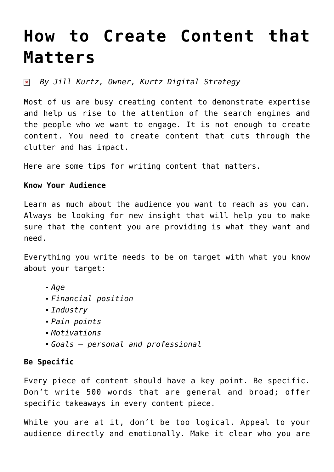# **[How to Create Content that](https://www.commpro.biz/how-to-create-content-that-matters/) [Matters](https://www.commpro.biz/how-to-create-content-that-matters/)**

*By Jill Kurtz, Owner, [Kurtz Digital Strategy](https://kurtzdigitalstrategy.com/)*

Most of us are busy creating content to demonstrate expertise and help us rise to the attention of the search engines and the people who we want to engage. It is not enough to create content. You need to create content that cuts through the clutter and has impact.

Here are some tips for writing content that matters.

#### **Know Your Audience**

Learn as much about the audience you want to reach as you can. Always be looking for new insight that will help you to make sure that the content you are providing is what they want and need.

Everything you write needs to be on target with what you know about your target:

- *Age*
- *Financial position*
- *Industry*
- *Pain points*
- *Motivations*
- *Goals personal and professional*

## **Be Specific**

Every piece of content should have a key point. Be specific. Don't write 500 words that are general and broad; offer specific takeaways in every content piece.

While you are at it, don't be too logical. Appeal to your audience directly and emotionally. Make it clear who you are